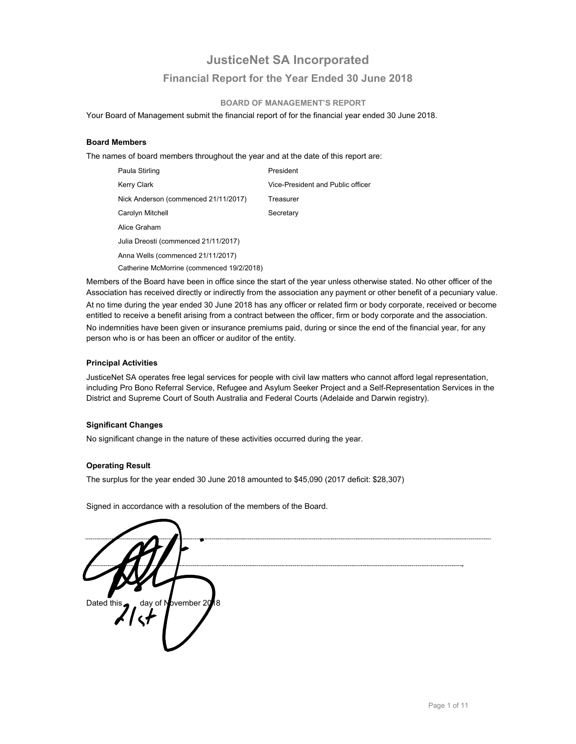# **JusticeNet SA Incorporated Financial Report for the Year Ended 30 June 2018**

#### **BOARD OF MANAGEMENT'S REPORT**

Your Board of Management submit the financial report of for the financial year ended 30 June 2018.

#### **Board Members**

The names of board members throughout the year and at the date of this report are:

| Paula Stirling                            | President                         |
|-------------------------------------------|-----------------------------------|
| Kerry Clark                               | Vice-President and Public officer |
| Nick Anderson (commenced 21/11/2017)      | Treasurer                         |
| Carolyn Mitchell                          | Secretary                         |
| Alice Graham                              |                                   |
| Julia Dreosti (commenced 21/11/2017)      |                                   |
| Anna Wells (commenced 21/11/2017)         |                                   |
| Catherine McMorrine (commenced 19/2/2018) |                                   |

Members of the Board have been in office since the start of the year unless otherwise stated. No other officer of the Association has received directly or indirectly from the association any payment or other benefit of a pecuniary value. At no time during the year ended 30 June 2018 has any officer or related firm or body corporate, received or become entitled to receive a benefit arising from a contract between the officer, firm or body corporate and the association. No indemnities have been given or insurance premiums paid, during or since the end of the financial year, for any person who is or has been an officer or auditor of the entity.

#### **Principal Activities**

JusticeNet SA operates free legal services for people with civil law matters who cannot afford legal representation, including Pro Bono Referral Service, Refugee and Asylum Seeker Project and a Self-Representation Services in the District and Supreme Court of South Australia and Federal Courts (Adelaide and Darwin registry).

#### **Significant Changes**

No significant change in the nature of these activities occurred during the year.

#### **Operating Result**

The surplus for the year ended 30 June 2018 amounted to \$45,090 (2017 deficit: \$28,307)

Signed in accordance with a resolution of the members of the Board.

Dated this day of November 20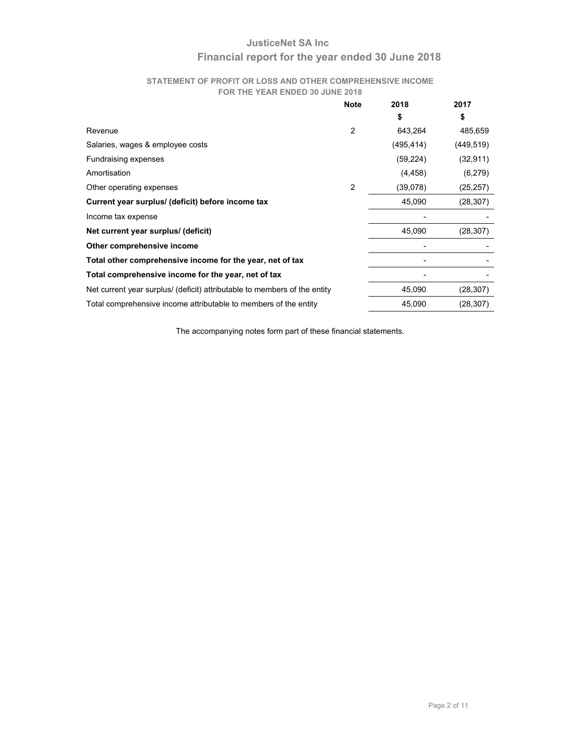# **JusticeNet SA Inc Financial report for the year ended 30 June 2018**

#### **STATEMENT OF PROFIT OR LOSS AND OTHER COMPREHENSIVE INCOME FOR THE YEAR ENDED 30 JUNE 2018**

| <b>Note</b> | 2018       | 2017       |
|-------------|------------|------------|
|             | \$         | S          |
| 2           | 643,264    | 485,659    |
|             | (495, 414) | (449, 519) |
|             | (59, 224)  | (32, 911)  |
|             | (4, 458)   | (6,279)    |
| 2           | (39,078)   | (25, 257)  |
|             | 45,090     | (28, 307)  |
|             |            |            |
|             | 45,090     | (28, 307)  |
|             |            |            |
|             |            |            |
|             |            |            |
|             | 45,090     | (28, 307)  |
|             | 45,090     | (28, 307)  |
|             |            |            |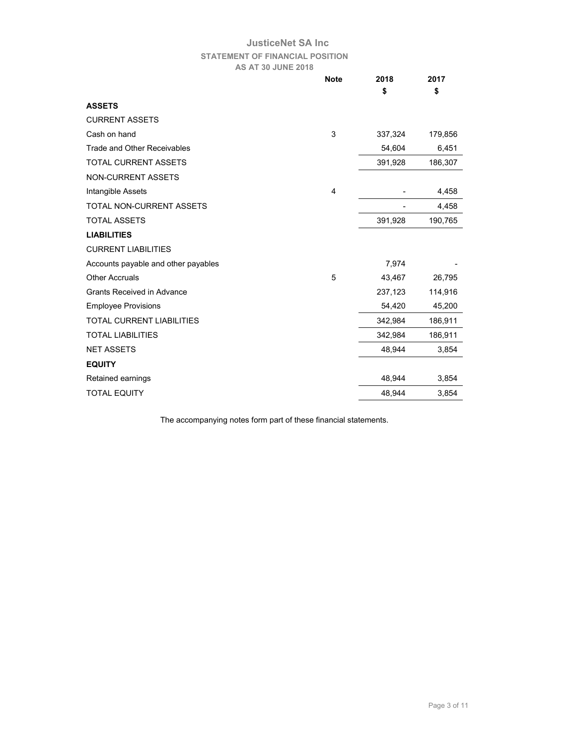# **JusticeNet SA Inc STATEMENT OF FINANCIAL POSITION AS AT 30 JUNE 2018**

|                                     | <b>Note</b> | 2018    | 2017    |
|-------------------------------------|-------------|---------|---------|
|                                     |             | \$      | \$      |
| <b>ASSETS</b>                       |             |         |         |
| <b>CURRENT ASSETS</b>               |             |         |         |
| Cash on hand                        | 3           | 337,324 | 179,856 |
| <b>Trade and Other Receivables</b>  |             | 54,604  | 6,451   |
| <b>TOTAL CURRENT ASSETS</b>         |             | 391,928 | 186,307 |
| <b>NON-CURRENT ASSETS</b>           |             |         |         |
| Intangible Assets                   | 4           |         | 4,458   |
| <b>TOTAL NON-CURRENT ASSETS</b>     |             |         | 4,458   |
| <b>TOTAL ASSETS</b>                 |             | 391,928 | 190,765 |
| <b>LIABILITIES</b>                  |             |         |         |
| <b>CURRENT LIABILITIES</b>          |             |         |         |
| Accounts payable and other payables |             | 7,974   |         |
| <b>Other Accruals</b>               | 5           | 43,467  | 26,795  |
| <b>Grants Received in Advance</b>   |             | 237,123 | 114,916 |
| <b>Employee Provisions</b>          |             | 54,420  | 45,200  |
| <b>TOTAL CURRENT LIABILITIES</b>    |             | 342,984 | 186,911 |
| <b>TOTAL LIABILITIES</b>            |             | 342,984 | 186,911 |
| <b>NET ASSETS</b>                   |             | 48,944  | 3,854   |
| <b>EQUITY</b>                       |             |         |         |
| Retained earnings                   |             | 48,944  | 3,854   |
| <b>TOTAL EQUITY</b>                 |             | 48,944  | 3,854   |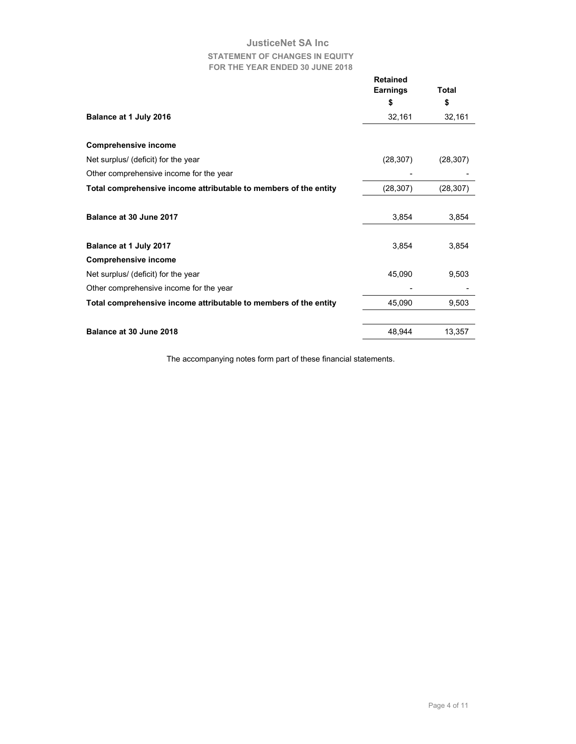# **JusticeNet SA Inc STATEMENT OF CHANGES IN EQUITY FOR THE YEAR ENDED 30 JUNE 2018**

|                                                                  | <b>Retained</b><br><b>Earnings</b> | Total     |
|------------------------------------------------------------------|------------------------------------|-----------|
|                                                                  | \$                                 | \$        |
| Balance at 1 July 2016                                           | 32,161                             | 32,161    |
|                                                                  |                                    |           |
| <b>Comprehensive income</b>                                      |                                    |           |
| Net surplus/ (deficit) for the year                              | (28, 307)                          | (28, 307) |
| Other comprehensive income for the year                          |                                    |           |
| Total comprehensive income attributable to members of the entity | (28, 307)                          | (28, 307) |
|                                                                  |                                    |           |
| Balance at 30 June 2017                                          | 3,854                              | 3,854     |
|                                                                  |                                    |           |
| Balance at 1 July 2017                                           | 3,854                              | 3,854     |
| <b>Comprehensive income</b>                                      |                                    |           |
| Net surplus/ (deficit) for the year                              | 45,090                             | 9,503     |
| Other comprehensive income for the year                          |                                    |           |
| Total comprehensive income attributable to members of the entity | 45,090                             | 9,503     |
|                                                                  |                                    |           |
| Balance at 30 June 2018                                          | 48,944                             | 13,357    |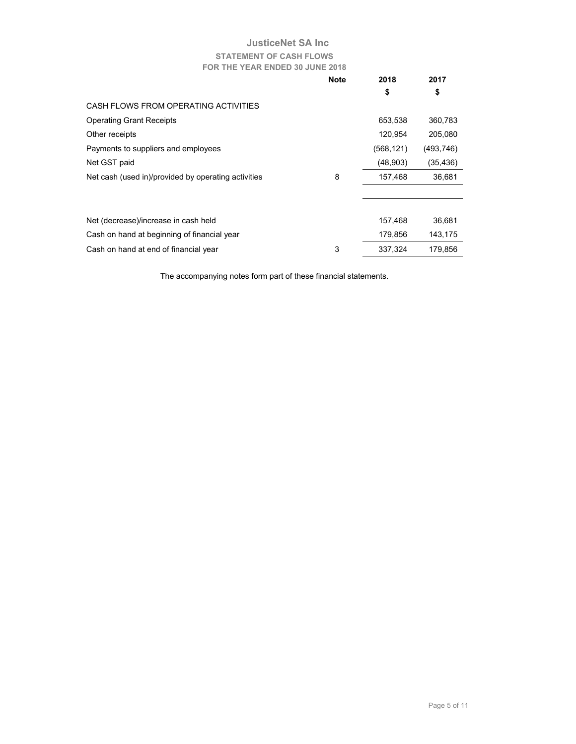# **JusticeNet SA Inc STATEMENT OF CASH FLOWS FOR THE YEAR ENDED 30 JUNE 2018**

|                                                     | <b>Note</b> | 2018       | 2017       |
|-----------------------------------------------------|-------------|------------|------------|
|                                                     |             | \$         | \$         |
| CASH FLOWS FROM OPERATING ACTIVITIES                |             |            |            |
| <b>Operating Grant Receipts</b>                     |             | 653,538    | 360,783    |
| Other receipts                                      |             | 120,954    | 205,080    |
| Payments to suppliers and employees                 |             | (568, 121) | (493, 746) |
| Net GST paid                                        |             | (48,903)   | (35, 436)  |
| Net cash (used in)/provided by operating activities | 8           | 157,468    | 36,681     |
|                                                     |             |            |            |
|                                                     |             |            |            |
| Net (decrease)/increase in cash held                |             | 157,468    | 36,681     |
| Cash on hand at beginning of financial year         |             | 179,856    | 143,175    |
| Cash on hand at end of financial year               | 3           | 337,324    | 179,856    |
|                                                     |             |            |            |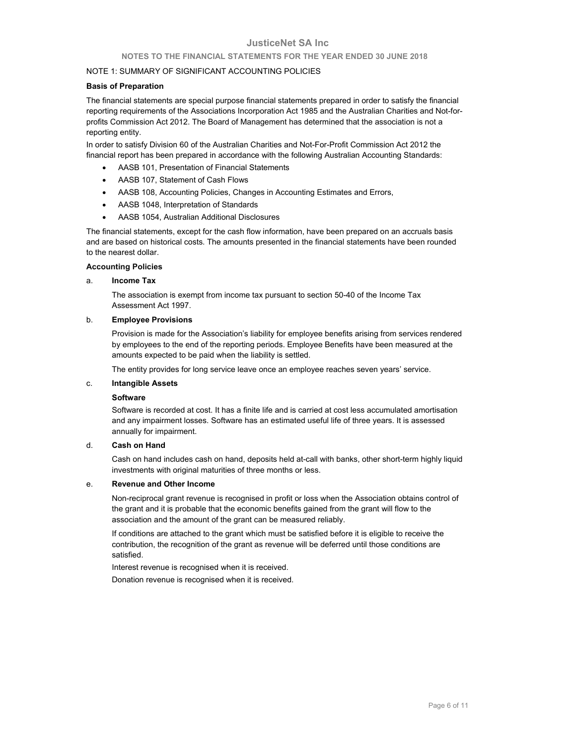#### **NOTES TO THE FINANCIAL STATEMENTS FOR THE YEAR ENDED 30 JUNE 2018**

#### NOTE 1: SUMMARY OF SIGNIFICANT ACCOUNTING POLICIES

#### **Basis of Preparation**

The financial statements are special purpose financial statements prepared in order to satisfy the financial reporting requirements of the Associations Incorporation Act 1985 and the Australian Charities and Not-forprofits Commission Act 2012. The Board of Management has determined that the association is not a reporting entity.

In order to satisfy Division 60 of the Australian Charities and Not-For-Profit Commission Act 2012 the financial report has been prepared in accordance with the following Australian Accounting Standards:

- AASB 101, Presentation of Financial Statements
- AASB 107, Statement of Cash Flows
- AASB 108, Accounting Policies, Changes in Accounting Estimates and Errors,
- AASB 1048, Interpretation of Standards
- AASB 1054, Australian Additional Disclosures

The financial statements, except for the cash flow information, have been prepared on an accruals basis and are based on historical costs. The amounts presented in the financial statements have been rounded to the nearest dollar.

#### **Accounting Policies**

#### a. **Income Tax**

 The association is exempt from income tax pursuant to section 50-40 of the Income Tax Assessment Act 1997.

#### b. **Employee Provisions**

 Provision is made for the Association's liability for employee benefits arising from services rendered by employees to the end of the reporting periods. Employee Benefits have been measured at the amounts expected to be paid when the liability is settled.

The entity provides for long service leave once an employee reaches seven years' service.

#### c. **Intangible Assets**

#### **Software**

Software is recorded at cost. It has a finite life and is carried at cost less accumulated amortisation and any impairment losses. Software has an estimated useful life of three years. It is assessed annually for impairment.

#### d. **Cash on Hand**

 Cash on hand includes cash on hand, deposits held at-call with banks, other short-term highly liquid investments with original maturities of three months or less.

#### e. **Revenue and Other Income**

 Non-reciprocal grant revenue is recognised in profit or loss when the Association obtains control of the grant and it is probable that the economic benefits gained from the grant will flow to the association and the amount of the grant can be measured reliably.

 If conditions are attached to the grant which must be satisfied before it is eligible to receive the contribution, the recognition of the grant as revenue will be deferred until those conditions are satisfied.

Interest revenue is recognised when it is received.

Donation revenue is recognised when it is received.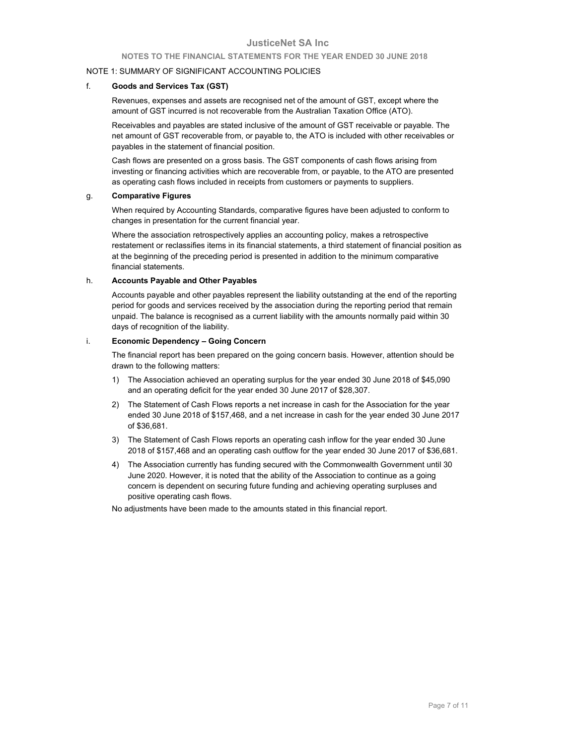#### **NOTES TO THE FINANCIAL STATEMENTS FOR THE YEAR ENDED 30 JUNE 2018**

#### NOTE 1: SUMMARY OF SIGNIFICANT ACCOUNTING POLICIES

#### f. **Goods and Services Tax (GST)**

 Revenues, expenses and assets are recognised net of the amount of GST, except where the amount of GST incurred is not recoverable from the Australian Taxation Office (ATO).

 Receivables and payables are stated inclusive of the amount of GST receivable or payable. The net amount of GST recoverable from, or payable to, the ATO is included with other receivables or payables in the statement of financial position.

 Cash flows are presented on a gross basis. The GST components of cash flows arising from investing or financing activities which are recoverable from, or payable, to the ATO are presented as operating cash flows included in receipts from customers or payments to suppliers.

#### g. **Comparative Figures**

 When required by Accounting Standards, comparative figures have been adjusted to conform to changes in presentation for the current financial year.

 Where the association retrospectively applies an accounting policy, makes a retrospective restatement or reclassifies items in its financial statements, a third statement of financial position as at the beginning of the preceding period is presented in addition to the minimum comparative financial statements.

#### h. **Accounts Payable and Other Payables**

Accounts payable and other payables represent the liability outstanding at the end of the reporting period for goods and services received by the association during the reporting period that remain unpaid. The balance is recognised as a current liability with the amounts normally paid within 30 days of recognition of the liability.

#### i. **Economic Dependency – Going Concern**

 The financial report has been prepared on the going concern basis. However, attention should be drawn to the following matters:

- 1) The Association achieved an operating surplus for the year ended 30 June 2018 of \$45,090 and an operating deficit for the year ended 30 June 2017 of \$28,307.
- 2) The Statement of Cash Flows reports a net increase in cash for the Association for the year ended 30 June 2018 of \$157,468, and a net increase in cash for the year ended 30 June 2017 of \$36,681.
- 3) The Statement of Cash Flows reports an operating cash inflow for the year ended 30 June 2018 of \$157,468 and an operating cash outflow for the year ended 30 June 2017 of \$36,681.
- 4) The Association currently has funding secured with the Commonwealth Government until 30 June 2020. However, it is noted that the ability of the Association to continue as a going concern is dependent on securing future funding and achieving operating surpluses and positive operating cash flows.

No adjustments have been made to the amounts stated in this financial report.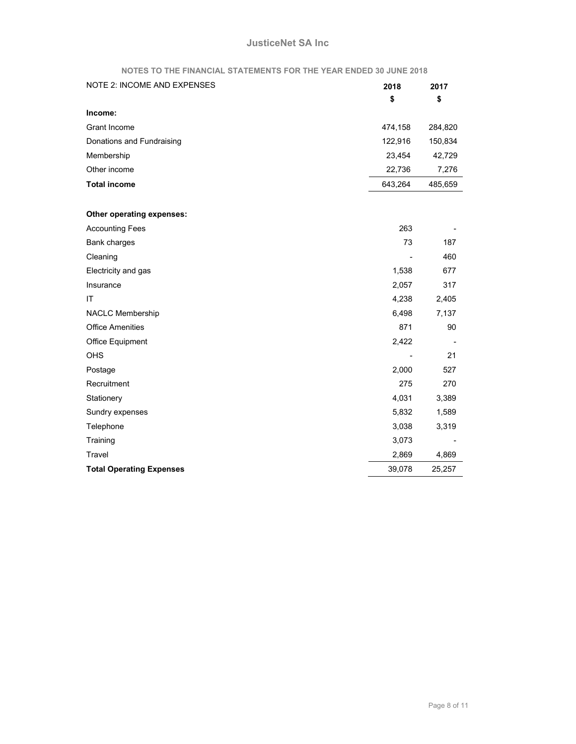#### **NOTES TO THE FINANCIAL STATEMENTS FOR THE YEAR ENDED 30 JUNE 2018**

| <b>NOTE 2: INCOME AND EXPENSES</b> | 2018    | 2017    |
|------------------------------------|---------|---------|
|                                    | \$      | \$      |
| Income:                            |         |         |
| Grant Income                       | 474,158 | 284,820 |
| Donations and Fundraising          | 122,916 | 150,834 |
| Membership                         | 23,454  | 42,729  |
| Other income                       | 22,736  | 7,276   |
| <b>Total income</b>                | 643,264 | 485,659 |
|                                    |         |         |
| Other operating expenses:          |         |         |
| <b>Accounting Fees</b>             | 263     |         |
| Bank charges                       | 73      | 187     |
| Cleaning                           |         | 460     |
| Electricity and gas                | 1,538   | 677     |
| Insurance                          | 2,057   | 317     |
| IT                                 | 4,238   | 2,405   |
| NACLC Membership                   | 6,498   | 7,137   |
| <b>Office Amenities</b>            | 871     | 90      |
| Office Equipment                   | 2,422   |         |
| OHS                                |         | 21      |
| Postage                            | 2,000   | 527     |
| Recruitment                        | 275     | 270     |
| Stationery                         | 4,031   | 3,389   |
| Sundry expenses                    | 5,832   | 1,589   |
| Telephone                          | 3,038   | 3,319   |
| Training                           | 3,073   |         |
| Travel                             | 2,869   | 4,869   |
| <b>Total Operating Expenses</b>    | 39,078  | 25,257  |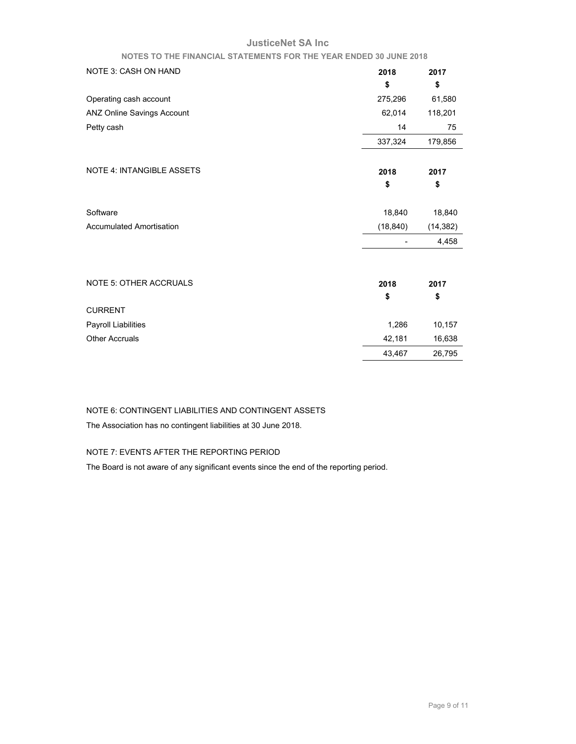#### **NOTES TO THE FINANCIAL STATEMENTS FOR THE YEAR ENDED 30 JUNE 2018**

| <b>NOTE 3: CASH ON HAND</b>      | 2018      | 2017      |
|----------------------------------|-----------|-----------|
|                                  | \$        | \$        |
| Operating cash account           | 275,296   | 61,580    |
| ANZ Online Savings Account       | 62,014    | 118,201   |
| Petty cash                       | 14        | 75        |
|                                  | 337,324   | 179,856   |
| <b>NOTE 4: INTANGIBLE ASSETS</b> | 2018      | 2017      |
|                                  | \$        | \$        |
| Software                         | 18,840    | 18,840    |
| <b>Accumulated Amortisation</b>  | (18, 840) | (14, 382) |
|                                  |           | 4,458     |
| <b>NOTE 5: OTHER ACCRUALS</b>    | 2018      | 2017      |
|                                  | \$        | \$        |
| <b>CURRENT</b>                   |           |           |
| Payroll Liabilities              | 1,286     | 10,157    |
| <b>Other Accruals</b>            | 42,181    | 16,638    |
|                                  | 43,467    | 26,795    |

# NOTE 6: CONTINGENT LIABILITIES AND CONTINGENT ASSETS

The Association has no contingent liabilities at 30 June 2018.

## NOTE 7: EVENTS AFTER THE REPORTING PERIOD

The Board is not aware of any significant events since the end of the reporting period.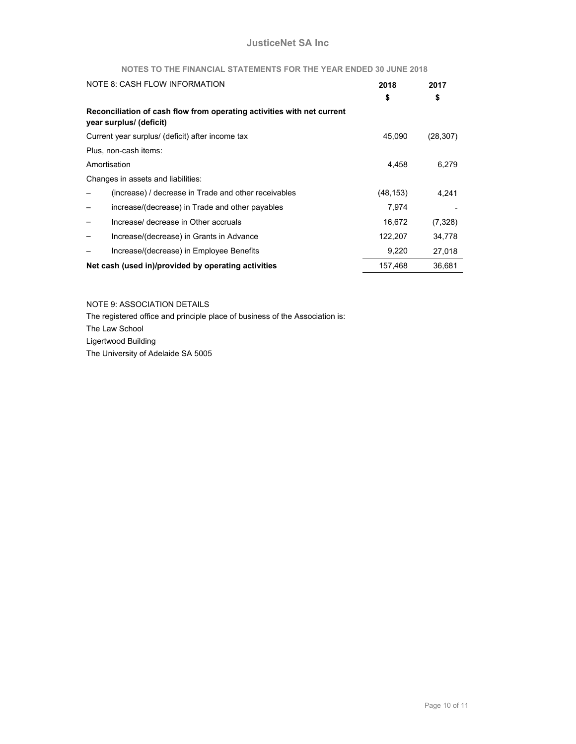# **NOTES TO THE FINANCIAL STATEMENTS FOR THE YEAR ENDED 30 JUNE 2018**

|              | NOTE 8: CASH FLOW INFORMATION                                                                     | 2018      | 2017      |
|--------------|---------------------------------------------------------------------------------------------------|-----------|-----------|
|              |                                                                                                   | \$        | \$        |
|              | Reconciliation of cash flow from operating activities with net current<br>year surplus/ (deficit) |           |           |
|              | Current year surplus/ (deficit) after income tax                                                  | 45,090    | (28, 307) |
|              | Plus, non-cash items:                                                                             |           |           |
| Amortisation |                                                                                                   | 4,458     | 6,279     |
|              | Changes in assets and liabilities:                                                                |           |           |
|              | (increase) / decrease in Trade and other receivables                                              | (48, 153) | 4,241     |
|              | increase/(decrease) in Trade and other payables                                                   | 7,974     |           |
|              | Increase/ decrease in Other accruals                                                              | 16,672    | (7, 328)  |
|              | Increase/(decrease) in Grants in Advance                                                          | 122,207   | 34,778    |
|              | Increase/(decrease) in Employee Benefits                                                          | 9,220     | 27,018    |
|              | Net cash (used in)/provided by operating activities                                               | 157,468   | 36,681    |

NOTE 9: ASSOCIATION DETAILS

The registered office and principle place of business of the Association is: The Law School Ligertwood Building The University of Adelaide SA 5005